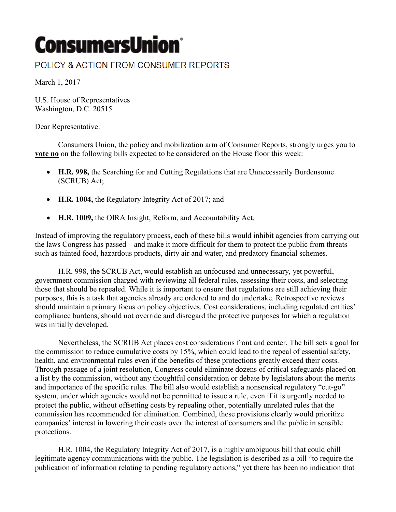## **ConsumersUnion**®

## POLICY & ACTION FROM CONSUMER REPORTS

March 1, 2017

U.S. House of Representatives Washington, D.C. 20515

Dear Representative:

Consumers Union, the policy and mobilization arm of Consumer Reports, strongly urges you to **vote no** on the following bills expected to be considered on the House floor this week:

- **H.R. 998,** the Searching for and Cutting Regulations that are Unnecessarily Burdensome (SCRUB) Act;
- **H.R. 1004,** the Regulatory Integrity Act of 2017; and
- **H.R. 1009,** the OIRA Insight, Reform, and Accountability Act.

Instead of improving the regulatory process, each of these bills would inhibit agencies from carrying out the laws Congress has passed—and make it more difficult for them to protect the public from threats such as tainted food, hazardous products, dirty air and water, and predatory financial schemes.

H.R. 998, the SCRUB Act, would establish an unfocused and unnecessary, yet powerful, government commission charged with reviewing all federal rules, assessing their costs, and selecting those that should be repealed. While it is important to ensure that regulations are still achieving their purposes, this is a task that agencies already are ordered to and do undertake. Retrospective reviews should maintain a primary focus on policy objectives. Cost considerations, including regulated entities' compliance burdens, should not override and disregard the protective purposes for which a regulation was initially developed.

Nevertheless, the SCRUB Act places cost considerations front and center. The bill sets a goal for the commission to reduce cumulative costs by 15%, which could lead to the repeal of essential safety, health, and environmental rules even if the benefits of these protections greatly exceed their costs. Through passage of a joint resolution, Congress could eliminate dozens of critical safeguards placed on a list by the commission, without any thoughtful consideration or debate by legislators about the merits and importance of the specific rules. The bill also would establish a nonsensical regulatory "cut-go" system, under which agencies would not be permitted to issue a rule, even if it is urgently needed to protect the public, without offsetting costs by repealing other, potentially unrelated rules that the commission has recommended for elimination. Combined, these provisions clearly would prioritize companies' interest in lowering their costs over the interest of consumers and the public in sensible protections.

H.R. 1004, the Regulatory Integrity Act of 2017, is a highly ambiguous bill that could chill legitimate agency communications with the public. The legislation is described as a bill "to require the publication of information relating to pending regulatory actions," yet there has been no indication that